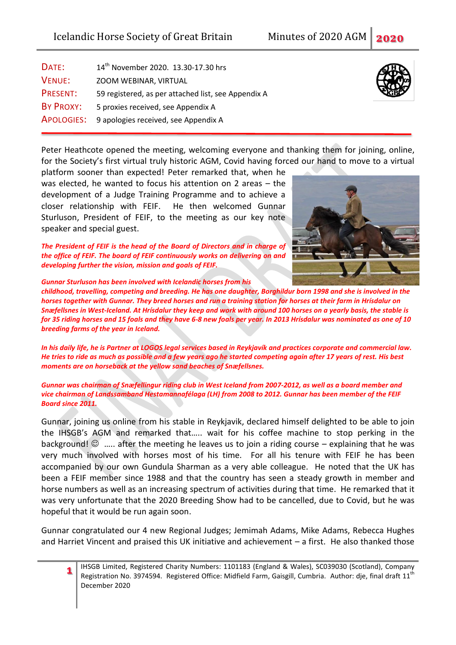| DATE:             | 14 <sup>th</sup> November 2020. 13.30-17.30 hrs     |  |  |  |  |
|-------------------|-----------------------------------------------------|--|--|--|--|
| <b>VENUE:</b>     | ZOOM WEBINAR, VIRTUAL                               |  |  |  |  |
| PRESENT:          | 59 registered, as per attached list, see Appendix A |  |  |  |  |
| BY PROXY:         | 5 proxies received, see Appendix A                  |  |  |  |  |
| <b>APOLOGIES:</b> | 9 apologies received, see Appendix A                |  |  |  |  |

Peter Heathcote opened the meeting, welcoming everyone and thanking them for joining, online, for the Society's first virtual truly historic AGM, Covid having forced our hand to move to a virtual

platform sooner than expected! Peter remarked that, when he was elected, he wanted to focus his attention on 2 areas – the development of a Judge Training Programme and to achieve a closer relationship with FEIF. He then welcomed Gunnar Sturluson, President of FEIF, to the meeting as our key note speaker and special guest.

*The President of FEIF is the head of the Board of Directors and in charge of the office of FEIF. The board of FEIF continuously works on delivering on and developing further the vision, mission and goals of FEIF.*

*Gunnar Sturluson has been involved with Icelandic horses from his* 

*childhood, travelling, competing and breeding. He has one daughter, Borghildur born 1998 and she is involved in the horses together with Gunnar. They breed horses and run a training station for horses at their farm in Hrísdalur on Snæfellsnes in West-Iceland. At Hrísdalur they keep and work with around 100 horses on a yearly basis, the stable is for 35 riding horses and 15 foals and they have 6-8 new foals per year. In 2013 Hrísdalur was nominated as one of 10 breeding farms of the year in Iceland.*

*In his daily life, he is Partner at LOGOS legal services based in Reykjavík and practices corporate and commercial law. He tries to ride as much as possible and a few years ago he started competing again after 17 years of rest. His best moments are on horseback at the yellow sand beaches of Snæfellsnes.*

*Gunnar was chairman of Snæfellingur riding club in West Iceland from 2007-2012, as well as a board member and vice chairman of Landssamband Hestamannafélaga (LH) from 2008 to 2012. Gunnar has been member of the FEIF Board since 2011.*

Gunnar, joining us online from his stable in Reykjavik, declared himself delighted to be able to join the IHSGB's AGM and remarked that….. wait for his coffee machine to stop perking in the background!  $\odot$  ..... after the meeting he leaves us to join a riding course – explaining that he was very much involved with horses most of his time. For all his tenure with FEIF he has been accompanied by our own Gundula Sharman as a very able colleague. He noted that the UK has been a FEIF member since 1988 and that the country has seen a steady growth in member and horse numbers as well as an increasing spectrum of activities during that time. He remarked that it was very unfortunate that the 2020 Breeding Show had to be cancelled, due to Covid, but he was hopeful that it would be run again soon.

Gunnar congratulated our 4 new Regional Judges; Jemimah Adams, Mike Adams, Rebecca Hughes and Harriet Vincent and praised this UK initiative and achievement – a first. He also thanked those



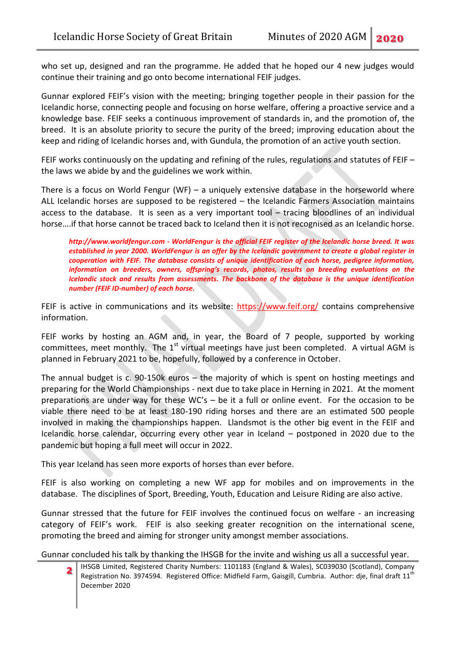who set up, designed and ran the programme. He added that he hoped our 4 new judges would continue their training and go onto become international FEIF judges.

Gunnar explored FEIF's vision with the meeting; bringing together people in their passion for the Icelandic horse, connecting people and focusing on horse welfare, offering a proactive service and a knowledge base. FEIF seeks a continuous improvement of standards in, and the promotion of, the breed. It is an absolute priority to secure the purity of the breed; improving education about the keep and riding of Icelandic horses and, with Gundula, the promotion of an active youth section.

FEIF works continuously on the updating and refining of the rules, regulations and statutes of FEIF – the laws we abide by and the guidelines we work within.

There is a focus on World Fengur (WF) – a uniquely extensive database in the horseworld where ALL Icelandic horses are supposed to be registered – the Icelandic Farmers Association maintains access to the database. It is seen as a very important tool – tracing bloodlines of an individual horse….if that horse cannot be traced back to Iceland then it is not recognised as an Icelandic horse.

*http://www.worldfengur.com - WorldFengur is the official FEIF register of the Icelandic horse breed. It was established in year 2000. WorldFengur is an offer by the Icelandic government to create a global register in cooperation with FEIF. The database consists of unique identification of each horse, pedigree information, information on breeders, owners, offspring's records, photos, results on breeding evaluations on the Icelandic stock and results from assessments. The backbone of the database is the unique identification number (FEIF ID-number) of each horse.*

FEIF is active in communications and its website:<https://www.feif.org/> contains comprehensive information.

FEIF works by hosting an AGM and, in year, the Board of 7 people, supported by working committees, meet monthly. The  $1<sup>st</sup>$  virtual meetings have just been completed. A virtual AGM is planned in February 2021 to be, hopefully, followed by a conference in October.

The annual budget is c. 90-150k euros – the majority of which is spent on hosting meetings and preparing for the World Championships - next due to take place in Herning in 2021. At the moment preparations are under way for these WC's – be it a full or online event. For the occasion to be viable there need to be at least 180-190 riding horses and there are an estimated 500 people involved in making the championships happen. Llandsmot is the other big event in the FEIF and Icelandic horse calendar, occurring every other year in Iceland – postponed in 2020 due to the pandemic but hoping a full meet will occur in 2022.

This year Iceland has seen more exports of horses than ever before.

FEIF is also working on completing a new WF app for mobiles and on improvements in the database. The disciplines of Sport, Breeding, Youth, Education and Leisure Riding are also active.

Gunnar stressed that the future for FEIF involves the continued focus on welfare - an increasing category of FEIF's work. FEIF is also seeking greater recognition on the international scene, promoting the breed and aiming for stronger unity amongst member associations.

Gunnar concluded his talk by thanking the IHSGB for the invite and wishing us all a successful year.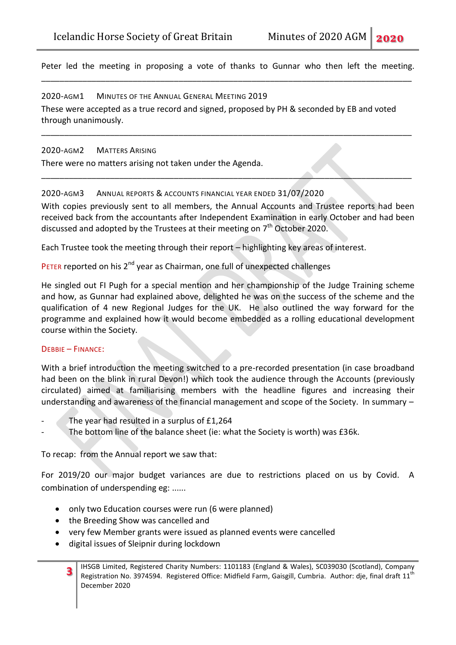Peter led the meeting in proposing a vote of thanks to Gunnar who then left the meeting. \_\_\_\_\_\_\_\_\_\_\_\_\_\_\_\_\_\_\_\_\_\_\_\_\_\_\_\_\_\_\_\_\_\_\_\_\_\_\_\_\_\_\_\_\_\_\_\_\_\_\_\_\_\_\_\_\_\_\_\_\_\_\_\_\_\_\_\_\_\_\_\_\_\_\_\_\_\_\_\_\_

2020-AGM1 MINUTES OF THE ANNUAL GENERAL MEETING 2019 These were accepted as a true record and signed, proposed by PH & seconded by EB and voted through unanimously.

\_\_\_\_\_\_\_\_\_\_\_\_\_\_\_\_\_\_\_\_\_\_\_\_\_\_\_\_\_\_\_\_\_\_\_\_\_\_\_\_\_\_\_\_\_\_\_\_\_\_\_\_\_\_\_\_\_\_\_\_\_\_\_\_\_\_\_\_\_\_\_\_\_\_\_\_\_\_\_\_\_

\_\_\_\_\_\_\_\_\_\_\_\_\_\_\_\_\_\_\_\_\_\_\_\_\_\_\_\_\_\_\_\_\_\_\_\_\_\_\_\_\_\_\_\_\_\_\_\_\_\_\_\_\_\_\_\_\_\_\_\_\_\_\_\_\_\_\_\_\_\_\_\_\_\_\_\_\_\_\_\_\_

#### 2020-AGM2 MATTERS ARISING

There were no matters arising not taken under the Agenda.

## 2020-AGM3 ANNUAL REPORTS & ACCOUNTS FINANCIAL YEAR ENDED 31/07/2020

With copies previously sent to all members, the Annual Accounts and Trustee reports had been received back from the accountants after Independent Examination in early October and had been discussed and adopted by the Trustees at their meeting on  $7<sup>th</sup>$  October 2020.

Each Trustee took the meeting through their report – highlighting key areas of interest.

# PETER reported on his 2<sup>nd</sup> year as Chairman, one full of unexpected challenges

He singled out FI Pugh for a special mention and her championship of the Judge Training scheme and how, as Gunnar had explained above, delighted he was on the success of the scheme and the qualification of 4 new Regional Judges for the UK. He also outlined the way forward for the programme and explained how it would become embedded as a rolling educational development course within the Society.

#### DEBBIE – FINANCE:

With a brief introduction the meeting switched to a pre-recorded presentation (in case broadband had been on the blink in rural Devon!) which took the audience through the Accounts (previously circulated) aimed at familiarising members with the headline figures and increasing their understanding and awareness of the financial management and scope of the Society. In summary –

- The year had resulted in a surplus of £1,264
- The bottom line of the balance sheet (ie: what the Society is worth) was £36k.

To recap: from the Annual report we saw that:

For 2019/20 our major budget variances are due to restrictions placed on us by Covid. A combination of underspending eg: ......

- only two Education courses were run (6 were planned)
- the Breeding Show was cancelled and
- very few Member grants were issued as planned events were cancelled
- digital issues of Sleipnir during lockdown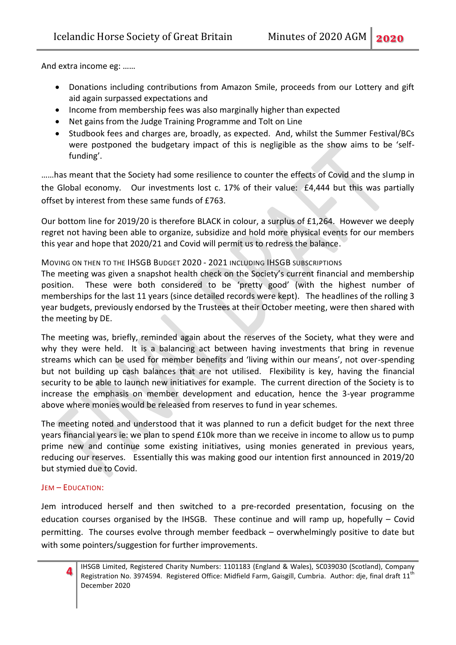And extra income eg: ……

- Donations including contributions from Amazon Smile, proceeds from our Lottery and gift aid again surpassed expectations and
- Income from membership fees was also marginally higher than expected
- Net gains from the Judge Training Programme and Tolt on Line
- Studbook fees and charges are, broadly, as expected. And, whilst the Summer Festival/BCs were postponed the budgetary impact of this is negligible as the show aims to be 'selffunding'.

……has meant that the Society had some resilience to counter the effects of Covid and the slump in the Global economy. Our investments lost c. 17% of their value: £4,444 but this was partially offset by interest from these same funds of £763.

Our bottom line for 2019/20 is therefore BLACK in colour, a surplus of £1,264. However we deeply regret not having been able to organize, subsidize and hold more physical events for our members this year and hope that 2020/21 and Covid will permit us to redress the balance.

## MOVING ON THEN TO THE IHSGB BUDGET 2020 - 2021 INCLUDING IHSGB SUBSCRIPTIONS

The meeting was given a snapshot health check on the Society's current financial and membership position. These were both considered to be 'pretty good' (with the highest number of memberships for the last 11 years (since detailed records were kept). The headlines of the rolling 3 year budgets, previously endorsed by the Trustees at their October meeting, were then shared with the meeting by DE.

The meeting was, briefly, reminded again about the reserves of the Society, what they were and why they were held. It is a balancing act between having investments that bring in revenue streams which can be used for member benefits and 'living within our means', not over-spending but not building up cash balances that are not utilised. Flexibility is key, having the financial security to be able to launch new initiatives for example. The current direction of the Society is to increase the emphasis on member development and education, hence the 3-year programme above where monies would be released from reserves to fund in year schemes.

The meeting noted and understood that it was planned to run a deficit budget for the next three years financial years ie: we plan to spend £10k more than we receive in income to allow us to pump prime new and continue some existing initiatives, using monies generated in previous years, reducing our reserves. Essentially this was making good our intention first announced in 2019/20 but stymied due to Covid.

## JEM – EDUCATION:

Jem introduced herself and then switched to a pre-recorded presentation, focusing on the education courses organised by the IHSGB. These continue and will ramp up, hopefully – Covid permitting. The courses evolve through member feedback – overwhelmingly positive to date but with some pointers/suggestion for further improvements.

IHSGB Limited, Registered Charity Numbers: 1101183 (England & Wales), SC039030 (Scotland), Company Registration No. 3974594. Registered Office: Midfield Farm, Gaisgill, Cumbria. Author: dje, final draft 11<sup>th</sup> December 2020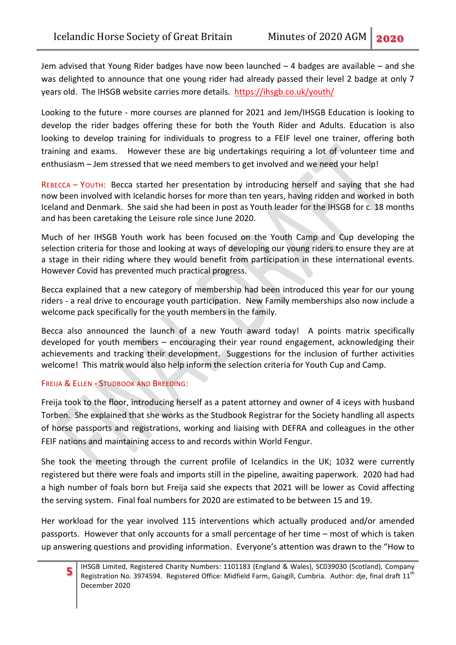Jem advised that Young Rider badges have now been launched – 4 badges are available – and she was delighted to announce that one young rider had already passed their level 2 badge at only 7 years old. The IHSGB website carries more details. <https://ihsgb.co.uk/youth/>

Looking to the future - more courses are planned for 2021 and Jem/IHSGB Education is looking to develop the rider badges offering these for both the Youth Rider and Adults. Education is also looking to develop training for individuals to progress to a FEIF level one trainer, offering both training and exams. However these are big undertakings requiring a lot of volunteer time and enthusiasm – Jem stressed that we need members to get involved and we need your help!

REBECCA – YOUTH: Becca started her presentation by introducing herself and saying that she had now been involved with Icelandic horses for more than ten years, having ridden and worked in both Iceland and Denmark. She said she had been in post as Youth leader for the IHSGB for c. 18 months and has been caretaking the Leisure role since June 2020.

Much of her IHSGB Youth work has been focused on the Youth Camp and Cup developing the selection criteria for those and looking at ways of developing our young riders to ensure they are at a stage in their riding where they would benefit from participation in these international events. However Covid has prevented much practical progress.

Becca explained that a new category of membership had been introduced this year for our young riders - a real drive to encourage youth participation. New Family memberships also now include a welcome pack specifically for the youth members in the family.

Becca also announced the launch of a new Youth award today! A points matrix specifically developed for youth members – encouraging their year round engagement, acknowledging their achievements and tracking their development. Suggestions for the inclusion of further activities welcome! This matrix would also help inform the selection criteria for Youth Cup and Camp.

## FREIJA & ELLEN - STUDBOOK AND BREEDING:

Freija took to the floor, introducing herself as a patent attorney and owner of 4 iceys with husband Torben. She explained that she works as the Studbook Registrar for the Society handling all aspects of horse passports and registrations, working and liaising with DEFRA and colleagues in the other FEIF nations and maintaining access to and records within World Fengur.

She took the meeting through the current profile of Icelandics in the UK; 1032 were currently registered but there were foals and imports still in the pipeline, awaiting paperwork. 2020 had had a high number of foals born but Freija said she expects that 2021 will be lower as Covid affecting the serving system. Final foal numbers for 2020 are estimated to be between 15 and 19.

Her workload for the year involved 115 interventions which actually produced and/or amended passports. However that only accounts for a small percentage of her time – most of which is taken up answering questions and providing information. Everyone's attention was drawn to the "How to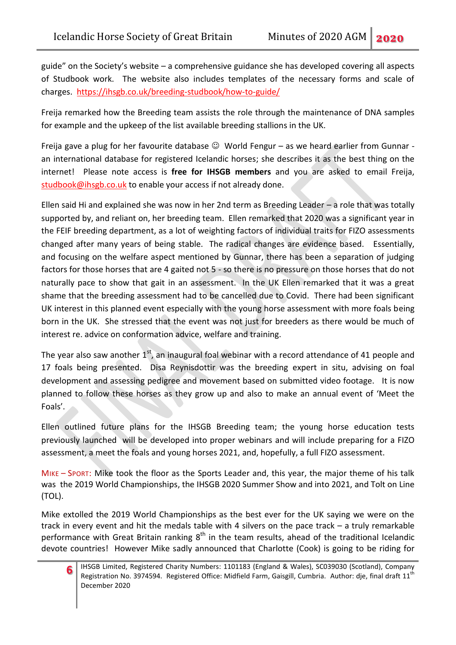guide" on the Society's website – a comprehensive guidance she has developed covering all aspects of Studbook work. The website also includes templates of the necessary forms and scale of charges. <https://ihsgb.co.uk/breeding-studbook/how-to-guide/>

Freija remarked how the Breeding team assists the role through the maintenance of DNA samples for example and the upkeep of the list available breeding stallions in the UK.

Freija gave a plug for her favourite database  $\mathbb G$  World Fengur – as we heard earlier from Gunnar an international database for registered Icelandic horses; she describes it as the best thing on the internet! Please note access is **free for IHSGB members** and you are asked to email Freija, [studbook@ihsgb.co.uk](mailto:studbook@ihsgb.co.uk) to enable your access if not already done.

Ellen said Hi and explained she was now in her 2nd term as Breeding Leader – a role that was totally supported by, and reliant on, her breeding team. Ellen remarked that 2020 was a significant year in the FEIF breeding department, as a lot of weighting factors of individual traits for FIZO assessments changed after many years of being stable. The radical changes are evidence based. Essentially, and focusing on the welfare aspect mentioned by Gunnar, there has been a separation of judging factors for those horses that are 4 gaited not 5 - so there is no pressure on those horses that do not naturally pace to show that gait in an assessment. In the UK Ellen remarked that it was a great shame that the breeding assessment had to be cancelled due to Covid. There had been significant UK interest in this planned event especially with the young horse assessment with more foals being born in the UK. She stressed that the event was not just for breeders as there would be much of interest re. advice on conformation advice, welfare and training.

The year also saw another  $1<sup>st</sup>$ , an inaugural foal webinar with a record attendance of 41 people and 17 foals being presented. Disa Reynisdottir was the breeding expert in situ, advising on foal development and assessing pedigree and movement based on submitted video footage. It is now planned to follow these horses as they grow up and also to make an annual event of 'Meet the Foals'.

Ellen outlined future plans for the IHSGB Breeding team; the young horse education tests previously launched will be developed into proper webinars and will include preparing for a FIZO assessment, a meet the foals and young horses 2021, and, hopefully, a full FIZO assessment.

MIKE – SPORT: Mike took the floor as the Sports Leader and, this year, the major theme of his talk was the 2019 World Championships, the IHSGB 2020 Summer Show and into 2021, and Tolt on Line (TOL).

Mike extolled the 2019 World Championships as the best ever for the UK saying we were on the track in every event and hit the medals table with 4 silvers on the pace track – a truly remarkable performance with Great Britain ranking 8<sup>th</sup> in the team results, ahead of the traditional Icelandic devote countries! However Mike sadly announced that Charlotte (Cook) is going to be riding for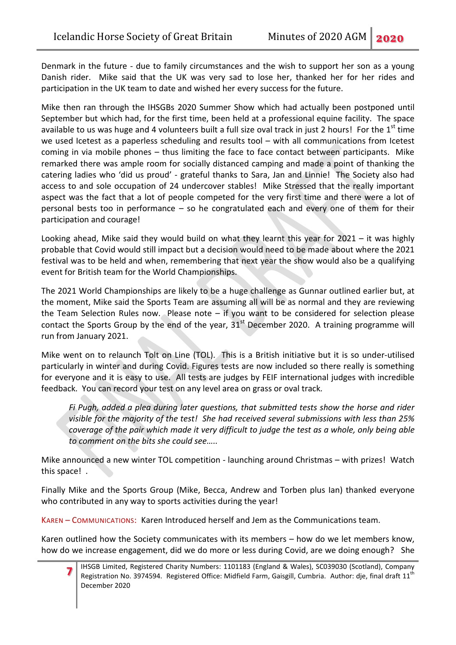Denmark in the future - due to family circumstances and the wish to support her son as a young Danish rider. Mike said that the UK was very sad to lose her, thanked her for her rides and participation in the UK team to date and wished her every success for the future.

Mike then ran through the IHSGBs 2020 Summer Show which had actually been postponed until September but which had, for the first time, been held at a professional equine facility. The space available to us was huge and 4 volunteers built a full size oval track in just 2 hours! For the 1<sup>st</sup> time we used Icetest as a paperless scheduling and results tool – with all communications from Icetest coming in via mobile phones – thus limiting the face to face contact between participants. Mike remarked there was ample room for socially distanced camping and made a point of thanking the catering ladies who 'did us proud' - grateful thanks to Sara, Jan and Linnie! The Society also had access to and sole occupation of 24 undercover stables! Mike Stressed that the really important aspect was the fact that a lot of people competed for the very first time and there were a lot of personal bests too in performance – so he congratulated each and every one of them for their participation and courage!

Looking ahead, Mike said they would build on what they learnt this year for 2021 – it was highly probable that Covid would still impact but a decision would need to be made about where the 2021 festival was to be held and when, remembering that next year the show would also be a qualifying event for British team for the World Championships.

The 2021 World Championships are likely to be a huge challenge as Gunnar outlined earlier but, at the moment, Mike said the Sports Team are assuming all will be as normal and they are reviewing the Team Selection Rules now. Please note – if you want to be considered for selection please contact the Sports Group by the end of the year,  $31<sup>st</sup>$  December 2020. A training programme will run from January 2021.

Mike went on to relaunch Tolt on Line (TOL). This is a British initiative but it is so under-utilised particularly in winter and during Covid. Figures tests are now included so there really is something for everyone and it is easy to use. All tests are judges by FEIF international judges with incredible feedback. You can record your test on any level area on grass or oval track.

*Fi Pugh, added a plea during later questions, that submitted tests show the horse and rider visible for the majority of the test! She had received several submissions with less than 25% coverage of the pair which made it very difficult to judge the test as a whole, only being able to comment on the bits she could see…..*

Mike announced a new winter TOL competition - launching around Christmas – with prizes! Watch this space! .

Finally Mike and the Sports Group (Mike, Becca, Andrew and Torben plus Ian) thanked everyone who contributed in any way to sports activities during the year!

KAREN – COMMUNICATIONS: Karen Introduced herself and Jem as the Communications team.

Karen outlined how the Society communicates with its members – how do we let members know, how do we increase engagement, did we do more or less during Covid, are we doing enough? She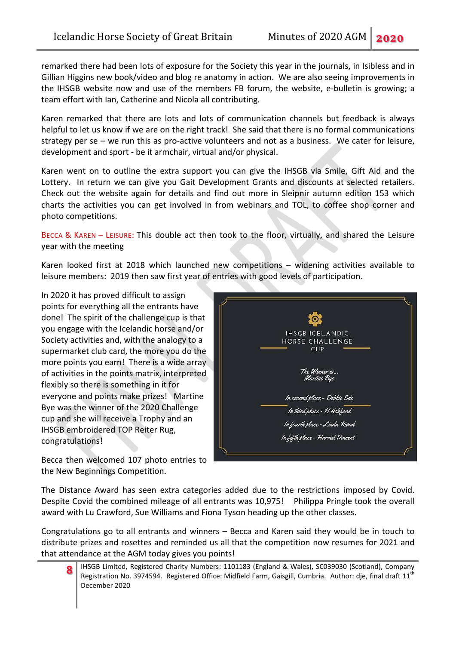remarked there had been lots of exposure for the Society this year in the journals, in Isibless and in Gillian Higgins new book/video and blog re anatomy in action. We are also seeing improvements in the IHSGB website now and use of the members FB forum, the website, e-bulletin is growing; a team effort with Ian, Catherine and Nicola all contributing.

Karen remarked that there are lots and lots of communication channels but feedback is always helpful to let us know if we are on the right track! She said that there is no formal communications strategy per se – we run this as pro-active volunteers and not as a business. We cater for leisure, development and sport - be it armchair, virtual and/or physical.

Karen went on to outline the extra support you can give the IHSGB via Smile, Gift Aid and the Lottery. In return we can give you Gait Development Grants and discounts at selected retailers. Check out the website again for details and find out more in Sleipnir autumn edition 153 which charts the activities you can get involved in from webinars and TOL, to coffee shop corner and photo competitions.

BECCA & KAREN – LEISURE: This double act then took to the floor, virtually, and shared the Leisure year with the meeting

Karen looked first at 2018 which launched new competitions – widening activities available to leisure members: 2019 then saw first year of entries with good levels of participation.

In 2020 it has proved difficult to assign points for everything all the entrants have done! The spirit of the challenge cup is that you engage with the Icelandic horse and/or Society activities and, with the analogy to a supermarket club card, the more you do the more points you earn! There is a wide array of activities in the points matrix, interpreted flexibly so there is something in it for everyone and points make prizes! Martine Bye was the winner of the 2020 Challenge cup and she will receive a Trophy and an IHSGB embroidered TOP Reiter Rug, congratulations!



Becca then welcomed 107 photo entries to the New Beginnings Competition.

The Distance Award has seen extra categories added due to the restrictions imposed by Covid. Despite Covid the combined mileage of all entrants was 10,975! Philippa Pringle took the overall award with Lu Crawford, Sue Williams and Fiona Tyson heading up the other classes.

Congratulations go to all entrants and winners – Becca and Karen said they would be in touch to distribute prizes and rosettes and reminded us all that the competition now resumes for 2021 and that attendance at the AGM today gives you points!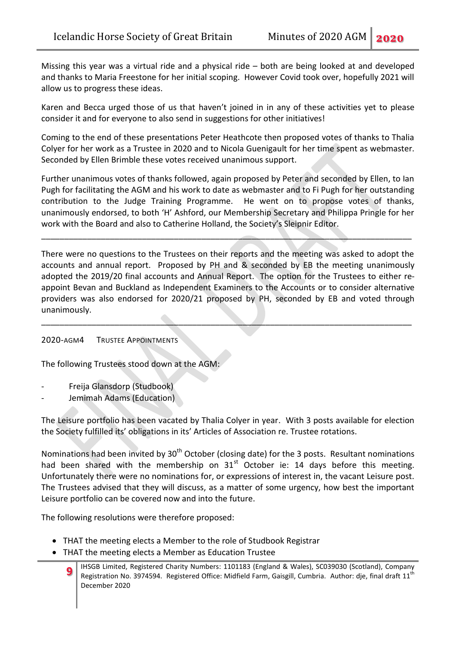Missing this year was a virtual ride and a physical ride – both are being looked at and developed and thanks to Maria Freestone for her initial scoping. However Covid took over, hopefully 2021 will allow us to progress these ideas.

Karen and Becca urged those of us that haven't joined in in any of these activities yet to please consider it and for everyone to also send in suggestions for other initiatives!

Coming to the end of these presentations Peter Heathcote then proposed votes of thanks to Thalia Colyer for her work as a Trustee in 2020 and to Nicola Guenigault for her time spent as webmaster. Seconded by Ellen Brimble these votes received unanimous support.

Further unanimous votes of thanks followed, again proposed by Peter and seconded by Ellen, to Ian Pugh for facilitating the AGM and his work to date as webmaster and to Fi Pugh for her outstanding contribution to the Judge Training Programme. He went on to propose votes of thanks, unanimously endorsed, to both 'H' Ashford, our Membership Secretary and Philippa Pringle for her work with the Board and also to Catherine Holland, the Society's Sleipnir Editor.

\_\_\_\_\_\_\_\_\_\_\_\_\_\_\_\_\_\_\_\_\_\_\_\_\_\_\_\_\_\_\_\_\_\_\_\_\_\_\_\_\_\_\_\_\_\_\_\_\_\_\_\_\_\_\_\_\_\_\_\_\_\_\_\_\_\_\_\_\_\_\_\_\_\_\_\_\_\_\_\_\_

There were no questions to the Trustees on their reports and the meeting was asked to adopt the accounts and annual report. Proposed by PH and & seconded by EB the meeting unanimously adopted the 2019/20 final accounts and Annual Report. The option for the Trustees to either reappoint Bevan and Buckland as Independent Examiners to the Accounts or to consider alternative providers was also endorsed for 2020/21 proposed by PH, seconded by EB and voted through unanimously.

\_\_\_\_\_\_\_\_\_\_\_\_\_\_\_\_\_\_\_\_\_\_\_\_\_\_\_\_\_\_\_\_\_\_\_\_\_\_\_\_\_\_\_\_\_\_\_\_\_\_\_\_\_\_\_\_\_\_\_\_\_\_\_\_\_\_\_\_\_\_\_\_\_\_\_\_\_\_\_\_\_

## 2020-AGM4 TRUSTEE APPOINTMENTS

The following Trustees stood down at the AGM:

- Freija Glansdorp (Studbook)
- Jemimah Adams (Education)

The Leisure portfolio has been vacated by Thalia Colyer in year. With 3 posts available for election the Society fulfilled its' obligations in its' Articles of Association re. Trustee rotations.

Nominations had been invited by 30<sup>th</sup> October (closing date) for the 3 posts. Resultant nominations had been shared with the membership on  $31<sup>st</sup>$  October ie: 14 days before this meeting. Unfortunately there were no nominations for, or expressions of interest in, the vacant Leisure post. The Trustees advised that they will discuss, as a matter of some urgency, how best the important Leisure portfolio can be covered now and into the future.

The following resolutions were therefore proposed:

- THAT the meeting elects a Member to the role of Studbook Registrar
- THAT the meeting elects a Member as Education Trustee
	- **9** IHSGB Limited, Registered Charity Numbers: 1101183 (England & Wales), SC039030 (Scotland), Company Registration No. 3974594. Registered Office: Midfield Farm, Gaisgill, Cumbria. Author: dje, final draft 11<sup>th</sup> December 2020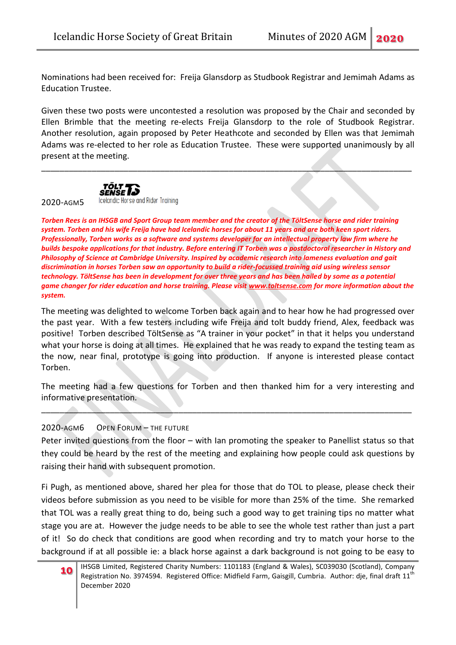Nominations had been received for: Freija Glansdorp as Studbook Registrar and Jemimah Adams as Education Trustee.

Given these two posts were uncontested a resolution was proposed by the Chair and seconded by Ellen Brimble that the meeting re-elects Freija Glansdorp to the role of Studbook Registrar. Another resolution, again proposed by Peter Heathcote and seconded by Ellen was that Jemimah Adams was re-elected to her role as Education Trustee. These were supported unanimously by all present at the meeting.

\_\_\_\_\_\_\_\_\_\_\_\_\_\_\_\_\_\_\_\_\_\_\_\_\_\_\_\_\_\_\_\_\_\_\_\_\_\_\_\_\_\_\_\_\_\_\_\_\_\_\_\_\_\_\_\_\_\_\_\_\_\_\_\_\_\_\_\_\_\_\_\_\_\_\_\_\_\_\_\_\_



2020-AGM5

Icelandic Horse and Rider Training

*Torben Rees is an IHSGB and Sport Group team member and the creator of the TöltSense horse and rider training system. Torben and his wife Freija have had Icelandic horses for about 11 years and are both keen sport riders. Professionally, Torben works as a software and systems developer for an intellectual property law firm where he builds bespoke applications for that industry. Before entering IT Torben was a postdoctoral researcher in History and Philosophy of Science at Cambridge University. Inspired by academic research into lameness evaluation and gait discrimination in horses Torben saw an opportunity to build a rider-focussed training aid using wireless sensor technology. TöltSense has been in development for over three years and has been hailed by some as a potential game changer for rider education and horse training. Please visit [www.toltsense.com](http://www.toltsense.com/) for more information about the system.*

The meeting was delighted to welcome Torben back again and to hear how he had progressed over the past year. With a few testers including wife Freija and tolt buddy friend, Alex, feedback was positive! Torben described TöltSense as "A trainer in your pocket" in that it helps you understand what your horse is doing at all times. He explained that he was ready to expand the testing team as the now, near final, prototype is going into production. If anyone is interested please contact Torben.

The meeting had a few questions for Torben and then thanked him for a very interesting and informative presentation.

\_\_\_\_\_\_\_\_\_\_\_\_\_\_\_\_\_\_\_\_\_\_\_\_\_\_\_\_\_\_\_\_\_\_\_\_\_\_\_\_\_\_\_\_\_\_\_\_\_\_\_\_\_\_\_\_\_\_\_\_\_\_\_\_\_\_\_\_\_\_\_\_\_\_\_\_\_\_\_\_\_

## 2020-AGM6 OPEN FORUM – THE FUTURE

Peter invited questions from the floor – with Ian promoting the speaker to Panellist status so that they could be heard by the rest of the meeting and explaining how people could ask questions by raising their hand with subsequent promotion.

Fi Pugh, as mentioned above, shared her plea for those that do TOL to please, please check their videos before submission as you need to be visible for more than 25% of the time. She remarked that TOL was a really great thing to do, being such a good way to get training tips no matter what stage you are at. However the judge needs to be able to see the whole test rather than just a part of it! So do check that conditions are good when recording and try to match your horse to the background if at all possible ie: a black horse against a dark background is not going to be easy to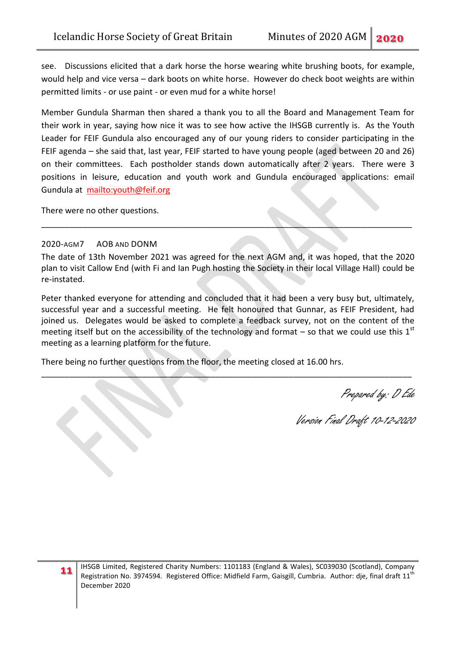see. Discussions elicited that a dark horse the horse wearing white brushing boots, for example, would help and vice versa – dark boots on white horse. However do check boot weights are within permitted limits - or use paint - or even mud for a white horse!

Member Gundula Sharman then shared a thank you to all the Board and Management Team for their work in year, saying how nice it was to see how active the IHSGB currently is. As the Youth Leader for FEIF Gundula also encouraged any of our young riders to consider participating in the FEIF agenda – she said that, last year, FEIF started to have young people (aged between 20 and 26) on their committees. Each postholder stands down automatically after 2 years. There were 3 positions in leisure, education and youth work and Gundula encouraged applications: email Gundula at <mailto:youth@feif.org>

There were no other questions.

#### 2020-AGM7 AOB AND DONM

The date of 13th November 2021 was agreed for the next AGM and, it was hoped, that the 2020 plan to visit Callow End (with Fi and Ian Pugh hosting the Society in their local Village Hall) could be re-instated.

\_\_\_\_\_\_\_\_\_\_\_\_\_\_\_\_\_\_\_\_\_\_\_\_\_\_\_\_\_\_\_\_\_\_\_\_\_\_\_\_\_\_\_\_\_\_\_\_\_\_\_\_\_\_\_\_\_\_\_\_\_\_\_\_\_\_\_\_\_\_\_\_\_\_\_\_\_\_\_\_\_

Peter thanked everyone for attending and concluded that it had been a very busy but, ultimately, successful year and a successful meeting. He felt honoured that Gunnar, as FEIF President, had joined us. Delegates would be asked to complete a feedback survey, not on the content of the meeting itself but on the accessibility of the technology and format – so that we could use this  $1<sup>st</sup>$ meeting as a learning platform for the future.

\_\_\_\_\_\_\_\_\_\_\_\_\_\_\_\_\_\_\_\_\_\_\_\_\_\_\_\_\_\_\_\_\_\_\_\_\_\_\_\_\_\_\_\_\_\_\_\_\_\_\_\_\_\_\_\_\_\_\_\_\_\_\_\_\_\_\_\_\_\_\_\_\_\_\_\_\_\_\_\_\_

There being no further questions from the floor, the meeting closed at 16.00 hrs.

Prepared by: D Ede

Version Final Draft 10-12-2020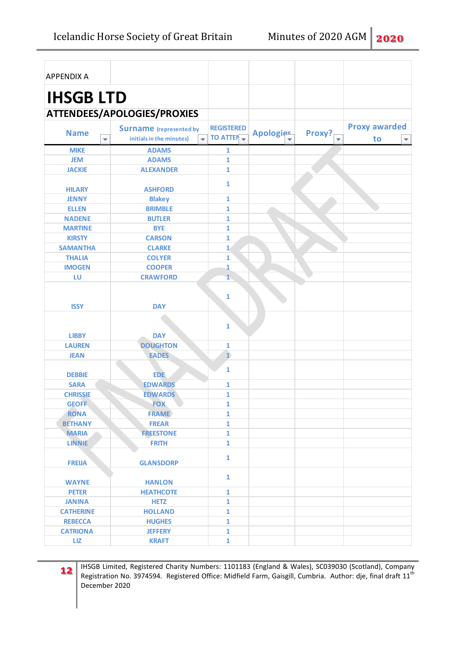| <b>APPENDIX A</b>                      |                                                     |                        |           |        |                               |
|----------------------------------------|-----------------------------------------------------|------------------------|-----------|--------|-------------------------------|
| <b>IHSGB LTD</b>                       |                                                     |                        |           |        |                               |
|                                        | ATTENDEES/APOLOGIES/PROXIES                         |                        |           |        |                               |
|                                        | <b>Surname</b> (represented by                      | <b>REGISTERED</b>      |           |        | <b>Proxy awarded</b>          |
| <b>Name</b><br>$\overline{\mathbf{v}}$ | initials in the minutes)<br>$\overline{\mathbf{v}}$ | TO ATTEN $\rightarrow$ | Apologies | Proxy? | to<br>$\overline{\mathbf{v}}$ |
| <b>MIKE</b>                            | <b>ADAMS</b>                                        | 1                      |           |        |                               |
| <b>JEM</b>                             | <b>ADAMS</b>                                        | 1                      |           |        |                               |
| <b>JACKIE</b>                          | <b>ALEXANDER</b>                                    | $\mathbf{1}$           |           |        |                               |
| <b>HILARY</b>                          | <b>ASHFORD</b>                                      | $\mathbf{1}$           |           |        |                               |
| <b>JENNY</b>                           | <b>Blakey</b>                                       | 1                      |           |        |                               |
| <b>ELLEN</b>                           | <b>BRIMBLE</b>                                      | $\mathbf{1}$           |           |        |                               |
| <b>NADENE</b>                          | <b>BUTLER</b>                                       | $\mathbf{1}$           |           |        |                               |
| <b>MARTINE</b>                         | <b>BYE</b>                                          | $\mathbf{1}$           |           |        |                               |
| <b>KIRSTY</b>                          | <b>CARSON</b>                                       | $\mathbf{1}$           |           |        |                               |
| <b>SAMANTHA</b>                        | <b>CLARKE</b>                                       | $\mathbf{1}$           |           |        |                               |
| <b>THALIA</b>                          | <b>COLYER</b>                                       | 1                      |           |        |                               |
| <b>IMOGEN</b>                          | <b>COOPER</b>                                       | 1                      |           |        |                               |
| LU                                     | <b>CRAWFORD</b>                                     | $\mathbf{1}$           |           |        |                               |
| <b>ISSY</b>                            | <b>DAY</b>                                          | 1<br>$\mathbf{1}$      |           |        |                               |
| <b>LIBBY</b>                           | <b>DAY</b>                                          |                        |           |        |                               |
| <b>LAUREN</b>                          | <b>DOUGHTON</b>                                     | 1                      |           |        |                               |
| <b>JEAN</b>                            | <b>EADES</b>                                        | $\overline{1}$         |           |        |                               |
| <b>DEBBIE</b>                          | <b>EDE</b>                                          | 1                      |           |        |                               |
| <b>SARA</b>                            | <b>EDWARDS</b>                                      | 1                      |           |        |                               |
| <b>CHRISSIE</b>                        | <b>EDWARDS</b>                                      | $\mathbf{1}$           |           |        |                               |
| <b>GEOFF</b>                           | <b>FOX</b>                                          | 1                      |           |        |                               |
| <b>RONA</b>                            | <b>FRAME</b>                                        | $\mathbf{1}$           |           |        |                               |
| <b>BETHANY</b>                         | <b>FREAR</b>                                        | $\mathbf{1}$           |           |        |                               |
| <b>MARIA</b>                           | <b>FREESTONE</b>                                    | $\mathbf{1}$           |           |        |                               |
| <b>LINNIE</b>                          | <b>FRITH</b>                                        | $\mathbf{1}$           |           |        |                               |
| <b>FREIJA</b>                          | <b>GLANSDORP</b>                                    | $\mathbf{1}$           |           |        |                               |
| <b>WAYNE</b>                           | <b>HANLON</b>                                       | $\mathbf{1}$           |           |        |                               |
| <b>PETER</b>                           | <b>HEATHCOTE</b>                                    | 1                      |           |        |                               |
| <b>JANINA</b>                          | <b>HETZ</b>                                         | $\mathbf{1}$           |           |        |                               |
| <b>CATHERINE</b>                       | <b>HOLLAND</b>                                      | $\mathbf{1}$           |           |        |                               |
| <b>REBECCA</b>                         | <b>HUGHES</b>                                       | $\mathbf{1}$           |           |        |                               |
| <b>CATRIONA</b>                        | <b>JEFFERY</b>                                      | $\mathbf{1}$           |           |        |                               |
| <b>LIZ</b>                             | <b>KRAFT</b>                                        | $\mathbf{1}$           |           |        |                               |